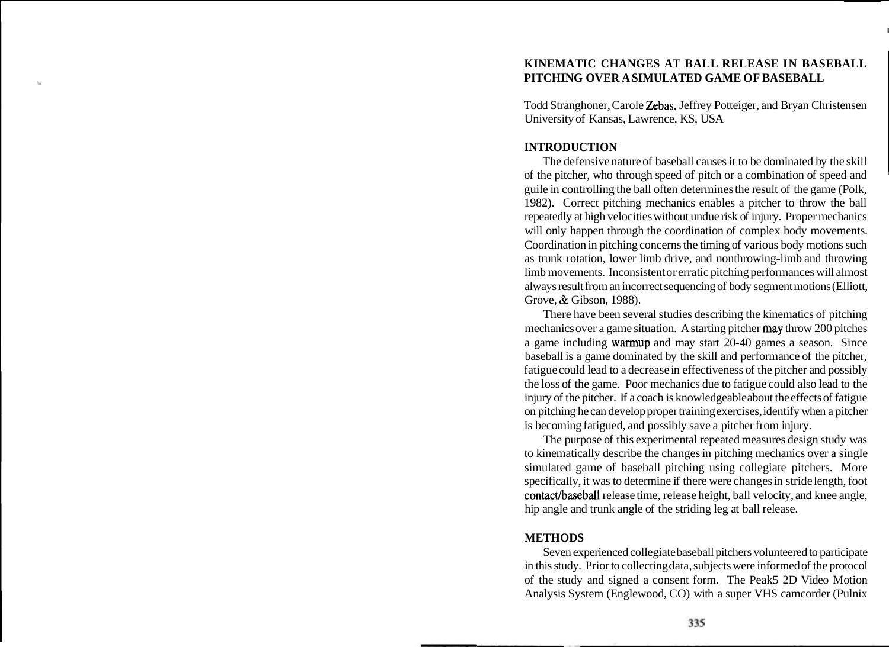# **KINEMATIC CHANGES AT BALL RELEASE IN BASEBALL**  <sup>L</sup>**PITCHING OVER A SIMULATED GAME OF BASEBALL**

Todd Stranghoner, Carole Zebas, Jeffrey Potteiger, and Bryan Christensen University of Kansas, Lawrence, KS, USA

### **INTRODUCTION**

The defensive nature of baseball causes it to be dominated by the skill of the pitcher, who through speed of pitch or a combination of speed and guile in controlling the ball often determines the result of the game (Polk, 1982). Correct pitching mechanics enables a pitcher to throw the ball repeatedly at high velocities without undue risk of injury. Proper mechanics will only happen through the coordination of complex body movements. Coordination in pitching concerns the timing of various body motions such as trunk rotation, lower limb drive, and nonthrowing-limb and throwing limb movements. Inconsistent or erratic pitching performances will almost always result from an incorrect sequencing of body segment motions (Elliott, Grove, & Gibson, 1988).

There have been several studies describing the kinematics of pitching mechanics over a game situation. A starting pitcher may throw 200 pitches a game including warmup and may start 20-40 games a season. Since baseball is a game dominated by the skill and performance of the pitcher, fatigue could lead to a decrease in effectiveness of the pitcher and possibly the loss of the game. Poor mechanics due to fatigue could also lead to the injury of the pitcher. If a coach is knowledgeable about the effects of fatigue on pitching he can develop proper training exercises, identify when a pitcher is becoming fatigued, and possibly save a pitcher from injury.

The purpose of this experimental repeated measures design study was to kinematically describe the changes in pitching mechanics over a single simulated game of baseball pitching using collegiate pitchers. More specifically, it was to determine if there were changes in stride length, foot contact/baseball release time, release height, ball velocity, and knee angle, hip angle and trunk angle of the striding leg at ball release.

### **METHODS**

Seven experienced collegiate baseball pitchers volunteered to participate in this study. Prior to collecting data, subjects were informed of the protocol of the study and signed a consent form. The Peak5 2D Video Motion Analysis System (Englewood, CO) with a super VHS camcorder (Pulnix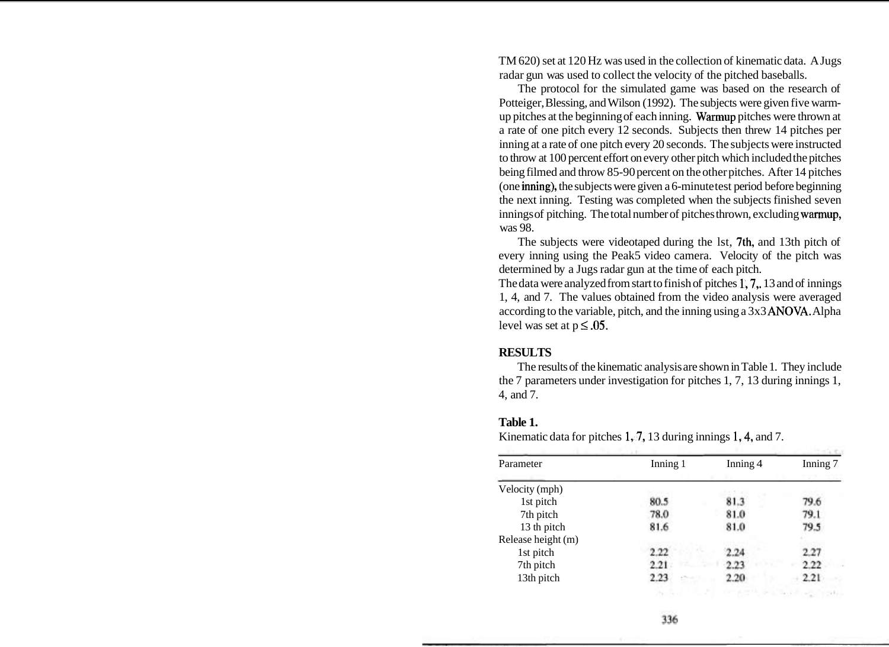TM 620) set at 120 Hz was used in the collection of kinematic data. A Jugs radar gun was used to collect the velocity of the pitched baseballs.

The protocol for the simulated game was based on the research of Potteiger, Blessing, and Wilson (1992). The subjects were given five warmup pitches at the beginning of each inning. Wamup pitches were thrown at a rate of one pitch every 12 seconds. Subjects then threw 14 pitches per inning at a rate of one pitch every 20 seconds. The subjects were instructed to throw at 100 percent effort on every other pitch which included the pitches being filmed and throw 85-90 percent on the other pitches. After 14 pitches (one inning), the subjects were given a 6-minute test period before beginning the next inning. Testing was completed when the subjects finished seven innings of pitching. The total number of pitches thrown, excluding warmup, was 98.

The subjects were videotaped during the lst, 7th, and 13th pitch of every inning using the Peak5 video camera. Velocity of the pitch was determined by a Jugs radar gun at the time of each pitch.

The data were analyzed from start to finish of pitches 1,7,. 13 and of innings 1, 4, and 7. The values obtained from the video analysis were averaged according to the variable, pitch, and the inning using a 3x3 ANOVA. Alpha level was set at  $p \leq .05$ .

## **RESULTS**

The results of the kinematic analysis are shown in Table 1. They include the 7 parameters under investigation for pitches 1, 7, 13 during innings 1, 4, and 7.

#### **Table 1.**

| Parameter          | Inning 1 | Inning 4 | Inning 7 |
|--------------------|----------|----------|----------|
| Velocity (mph)     |          |          |          |
| 1st pitch          | 80.5     | 81.3     | 79.6     |
| 7th pitch          | 78.0     | 81.0     | 79.1     |
| 13 th pitch        | 81.6     | 81.0     | 79.5     |
| Release height (m) |          |          |          |
| 1st pitch          | 2.22     | 2.24     | 22       |
| 7th pitch          | 2.21     | 2.23     | 2.22     |
| 13th pitch         | 2.23     | 2.20     | 2.21     |
|                    |          |          |          |

Kinematic data for pitches  $1, 7, 13$  during innings  $1, 4$ , and 7.

2010년 전쟁반, 180, 190, 190, 190, 190, 1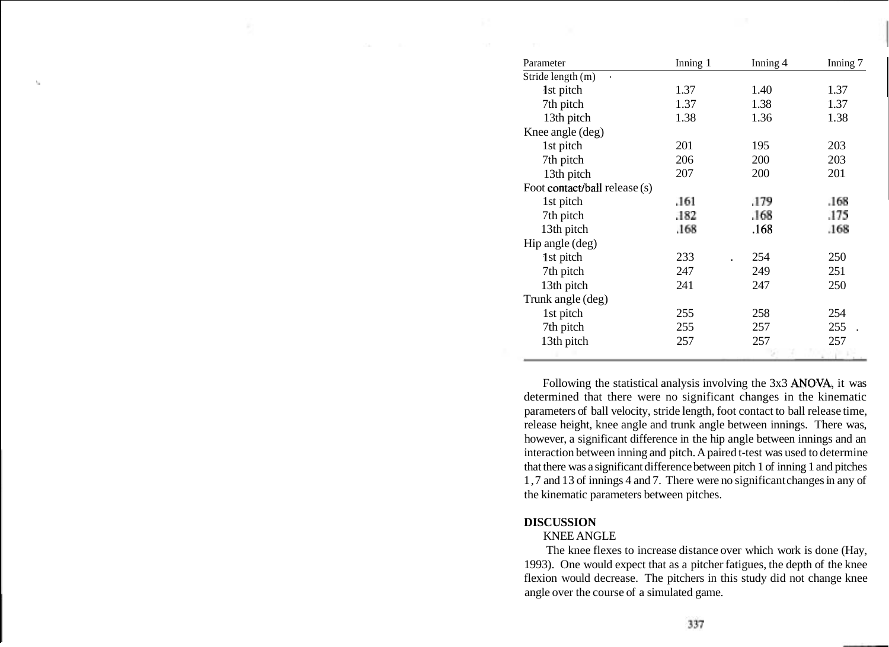| Parameter                     | Inning 1                        | Inning 4 | Inning 7 |
|-------------------------------|---------------------------------|----------|----------|
| Stride length (m)<br>$\sim$   |                                 |          |          |
| 1st pitch                     | 1.37                            | 1.40     | 1.37     |
| 7th pitch                     | 1.37                            | 1.38     | 1.37     |
| 13th pitch                    | 1.38                            | 1.36     | 1.38     |
| Knee angle (deg)              |                                 |          |          |
| 1st pitch                     | 201                             | 195      | 203      |
| 7th pitch                     | 206                             | 200      | 203      |
| 13th pitch                    | 207                             | 200      | 201      |
| Foot contact/ball release (s) |                                 |          |          |
| 1st pitch                     | .161                            | .179     | .168     |
| 7th pitch                     | .182                            | .168     | .175     |
| 13th pitch                    | .168                            | .168     | .168     |
| Hip angle (deg)               |                                 |          |          |
| 1st pitch                     | 233<br>$\overline{\phantom{a}}$ | 254      | 250      |
| 7th pitch                     | 247                             | 249      | 251      |
| 13th pitch                    | 241                             | 247      | 250      |
| Trunk angle (deg)             |                                 |          |          |
| 1st pitch                     | 255                             | 258      | 254      |
| 7th pitch                     | 255                             | 257      | 255      |
| 13th pitch                    | 257                             | 257      | 257      |
|                               |                                 |          |          |

Following the statistical analysis involving the 3x3 ANOVA, it was determined that there were no significant changes in the kinematic parameters of ball velocity, stride length, foot contact to ball release time, release height, knee angle and trunk angle between innings. There was, however, a significant difference in the hip angle between innings and an interaction between inning and pitch. A paired t-test was used to determine that there was a significant difference between pitch 1 of inning 1 and pitches 1,7 and 13 of innings 4 and 7. There were no significant changes in any of the kinematic parameters between pitches.

### **DISCUSSION**

#### KNEE ANGLE

The knee flexes to increase distance over which work is done (Hay, 1993). One would expect that as a pitcher fatigues, the depth of the knee flexion would decrease. The pitchers in this study did not change knee angle over the course of a simulated game.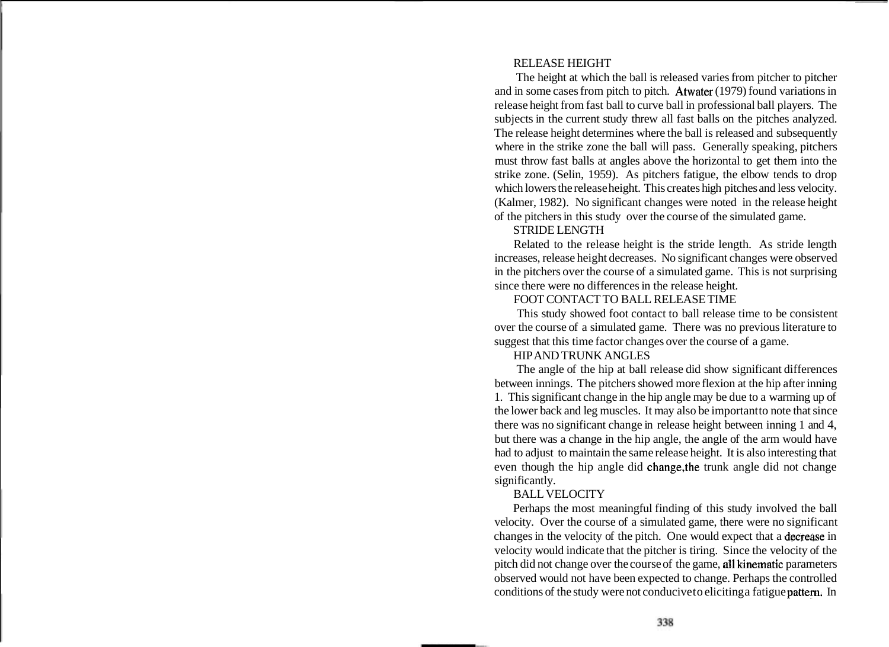### RELEASE HEIGHT

The height at which the ball is released varies from pitcher to pitcher and in some cases from pitch to pitch. Atwater (1979) found variations in release height from fast ball to curve ball in professional ball players. The subjects in the current study threw all fast balls on the pitches analyzed. The release height determines where the ball is released and subsequently where in the strike zone the ball will pass. Generally speaking, pitchers must throw fast balls at angles above the horizontal to get them into the strike zone. (Selin, 1959). As pitchers fatigue, the elbow tends to drop which lowers the release height. This creates high pitches and less velocity. (Kalmer, 1982). No significant changes were noted in the release height of the pitchers in this study over the course of the simulated game.

### STRIDE LENGTH

Related to the release height is the stride length. As stride length increases, release height decreases. No significant changes were observed in the pitchers over the course of a simulated game. This is not surprising since there were no differences in the release height.

### FOOT CONTACT TO BALL RELEASE TIME

This study showed foot contact to ball release time to be consistent over the course of a simulated game. There was no previous literature to suggest that this time factor changes over the course of a game.

#### HIP AND TRUNK ANGLES

The angle of the hip at ball release did show significant differences between innings. The pitchers showed more flexion at the hip after inning 1. This significant change in the hip angle may be due to a warming up of the lower back and leg muscles. It may also be important to note that since there was no significant change in release height between inning 1 and 4, but there was a change in the hip angle, the angle of the arm would have had to adjust to maintain the same release height. It is also interesting that even though the hip angle did change,the trunk angle did not change significantly.

### BALL VELOCITY

Perhaps the most meaningful finding of this study involved the ball velocity. Over the course of a simulated game, there were no significant changes in the velocity of the pitch. One would expect that a decrease in velocity would indicate that the pitcher is tiring. Since the velocity of the pitch did not change over the course of the game, all kinematic parameters observed would not have been expected to change. Perhaps the controlled conditions of the study were not conducive to eliciting a fatigue pattern. In